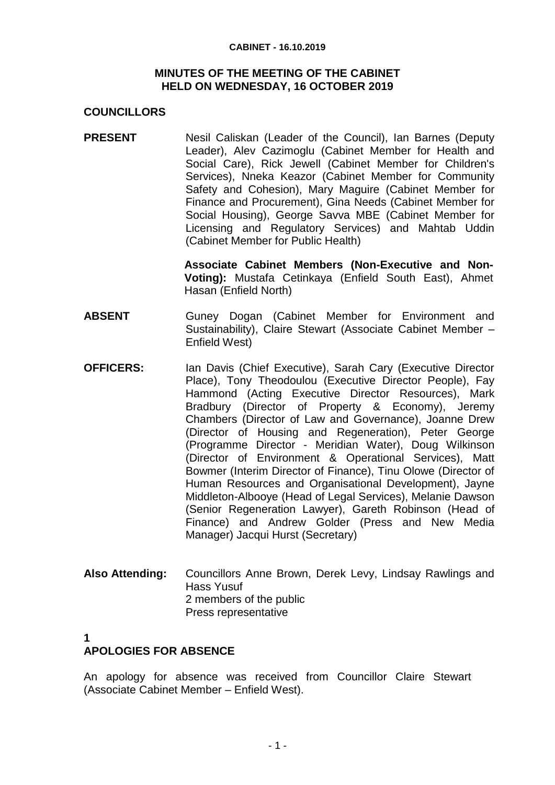#### **MINUTES OF THE MEETING OF THE CABINET HELD ON WEDNESDAY, 16 OCTOBER 2019**

# **COUNCILLORS**

**PRESENT** Nesil Caliskan (Leader of the Council), Ian Barnes (Deputy Leader), Alev Cazimoglu (Cabinet Member for Health and Social Care), Rick Jewell (Cabinet Member for Children's Services), Nneka Keazor (Cabinet Member for Community Safety and Cohesion), Mary Maguire (Cabinet Member for Finance and Procurement), Gina Needs (Cabinet Member for Social Housing), George Savva MBE (Cabinet Member for Licensing and Regulatory Services) and Mahtab Uddin (Cabinet Member for Public Health)

> **Associate Cabinet Members (Non-Executive and Non-Voting):** Mustafa Cetinkaya (Enfield South East), Ahmet Hasan (Enfield North)

- **ABSENT** Guney Dogan (Cabinet Member for Environment and Sustainability), Claire Stewart (Associate Cabinet Member – Enfield West)
- **OFFICERS:** Ian Davis (Chief Executive), Sarah Cary (Executive Director Place), Tony Theodoulou (Executive Director People), Fay Hammond (Acting Executive Director Resources), Mark Bradbury (Director of Property & Economy), Jeremy Chambers (Director of Law and Governance), Joanne Drew (Director of Housing and Regeneration), Peter George (Programme Director - Meridian Water), Doug Wilkinson (Director of Environment & Operational Services), Matt Bowmer (Interim Director of Finance), Tinu Olowe (Director of Human Resources and Organisational Development), Jayne Middleton-Albooye (Head of Legal Services), Melanie Dawson (Senior Regeneration Lawyer), Gareth Robinson (Head of Finance) and Andrew Golder (Press and New Media Manager) Jacqui Hurst (Secretary)
- **Also Attending:** Councillors Anne Brown, Derek Levy, Lindsay Rawlings and Hass Yusuf 2 members of the public Press representative
- **1**

# **APOLOGIES FOR ABSENCE**

An apology for absence was received from Councillor Claire Stewart (Associate Cabinet Member – Enfield West).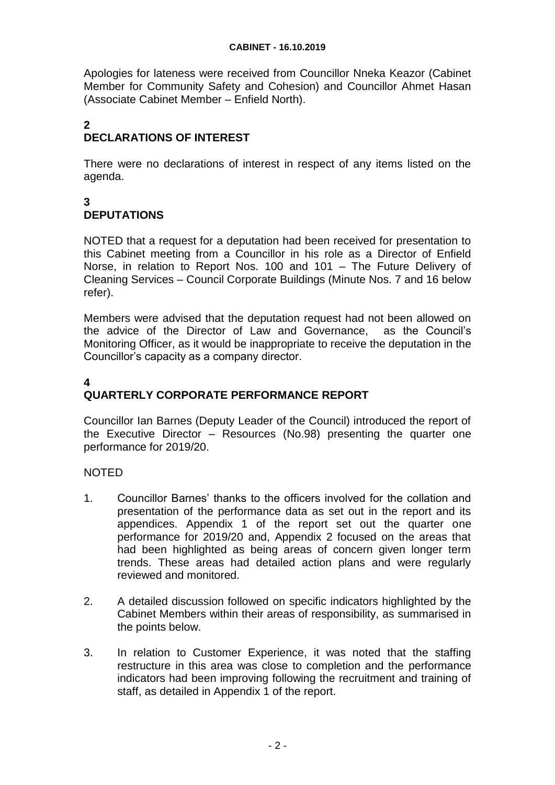Apologies for lateness were received from Councillor Nneka Keazor (Cabinet Member for Community Safety and Cohesion) and Councillor Ahmet Hasan (Associate Cabinet Member – Enfield North).

#### **2 DECLARATIONS OF INTEREST**

There were no declarations of interest in respect of any items listed on the agenda.

# **3 DEPUTATIONS**

NOTED that a request for a deputation had been received for presentation to this Cabinet meeting from a Councillor in his role as a Director of Enfield Norse, in relation to Report Nos. 100 and 101 – The Future Delivery of Cleaning Services – Council Corporate Buildings (Minute Nos. 7 and 16 below refer).

Members were advised that the deputation request had not been allowed on the advice of the Director of Law and Governance, as the Council's Monitoring Officer, as it would be inappropriate to receive the deputation in the Councillor's capacity as a company director.

# **4 QUARTERLY CORPORATE PERFORMANCE REPORT**

Councillor Ian Barnes (Deputy Leader of the Council) introduced the report of the Executive Director – Resources (No.98) presenting the quarter one performance for 2019/20.

- 1. Councillor Barnes' thanks to the officers involved for the collation and presentation of the performance data as set out in the report and its appendices. Appendix 1 of the report set out the quarter one performance for 2019/20 and, Appendix 2 focused on the areas that had been highlighted as being areas of concern given longer term trends. These areas had detailed action plans and were regularly reviewed and monitored.
- 2. A detailed discussion followed on specific indicators highlighted by the Cabinet Members within their areas of responsibility, as summarised in the points below.
- 3. In relation to Customer Experience, it was noted that the staffing restructure in this area was close to completion and the performance indicators had been improving following the recruitment and training of staff, as detailed in Appendix 1 of the report.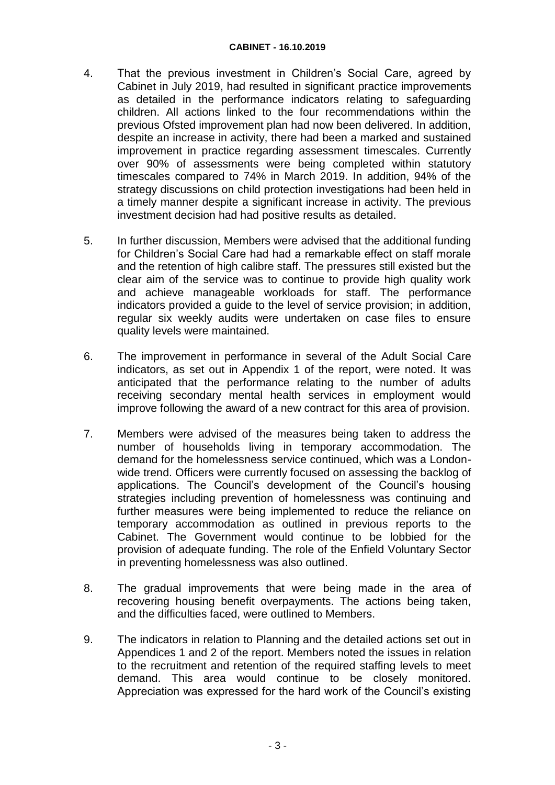- 4. That the previous investment in Children's Social Care, agreed by Cabinet in July 2019, had resulted in significant practice improvements as detailed in the performance indicators relating to safeguarding children. All actions linked to the four recommendations within the previous Ofsted improvement plan had now been delivered. In addition, despite an increase in activity, there had been a marked and sustained improvement in practice regarding assessment timescales. Currently over 90% of assessments were being completed within statutory timescales compared to 74% in March 2019. In addition, 94% of the strategy discussions on child protection investigations had been held in a timely manner despite a significant increase in activity. The previous investment decision had had positive results as detailed.
- 5. In further discussion, Members were advised that the additional funding for Children's Social Care had had a remarkable effect on staff morale and the retention of high calibre staff. The pressures still existed but the clear aim of the service was to continue to provide high quality work and achieve manageable workloads for staff. The performance indicators provided a guide to the level of service provision; in addition, regular six weekly audits were undertaken on case files to ensure quality levels were maintained.
- 6. The improvement in performance in several of the Adult Social Care indicators, as set out in Appendix 1 of the report, were noted. It was anticipated that the performance relating to the number of adults receiving secondary mental health services in employment would improve following the award of a new contract for this area of provision.
- 7. Members were advised of the measures being taken to address the number of households living in temporary accommodation. The demand for the homelessness service continued, which was a Londonwide trend. Officers were currently focused on assessing the backlog of applications. The Council's development of the Council's housing strategies including prevention of homelessness was continuing and further measures were being implemented to reduce the reliance on temporary accommodation as outlined in previous reports to the Cabinet. The Government would continue to be lobbied for the provision of adequate funding. The role of the Enfield Voluntary Sector in preventing homelessness was also outlined.
- 8. The gradual improvements that were being made in the area of recovering housing benefit overpayments. The actions being taken, and the difficulties faced, were outlined to Members.
- 9. The indicators in relation to Planning and the detailed actions set out in Appendices 1 and 2 of the report. Members noted the issues in relation to the recruitment and retention of the required staffing levels to meet demand. This area would continue to be closely monitored. Appreciation was expressed for the hard work of the Council's existing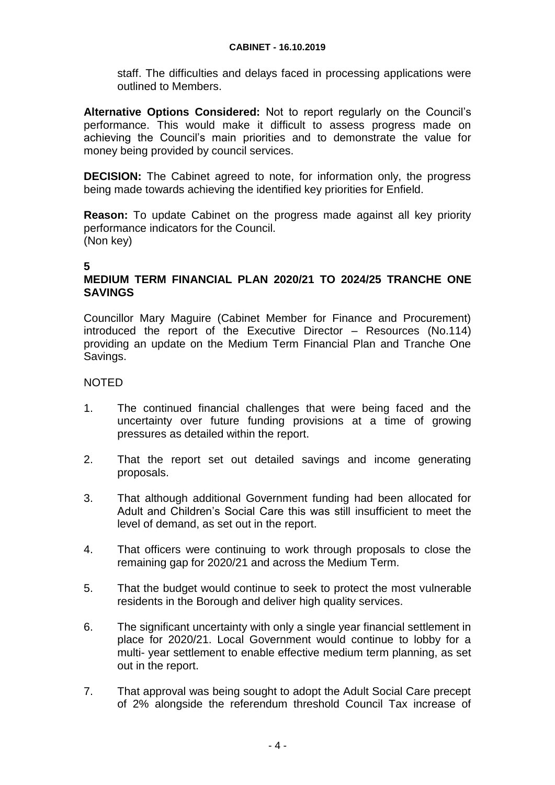staff. The difficulties and delays faced in processing applications were outlined to Members.

**Alternative Options Considered:** Not to report regularly on the Council's performance. This would make it difficult to assess progress made on achieving the Council's main priorities and to demonstrate the value for money being provided by council services.

**DECISION:** The Cabinet agreed to note, for information only, the progress being made towards achieving the identified key priorities for Enfield.

**Reason:** To update Cabinet on the progress made against all key priority performance indicators for the Council. (Non key)

#### **5**

### **MEDIUM TERM FINANCIAL PLAN 2020/21 TO 2024/25 TRANCHE ONE SAVINGS**

Councillor Mary Maguire (Cabinet Member for Finance and Procurement) introduced the report of the Executive Director – Resources (No.114) providing an update on the Medium Term Financial Plan and Tranche One Savings.

- 1. The continued financial challenges that were being faced and the uncertainty over future funding provisions at a time of growing pressures as detailed within the report.
- 2. That the report set out detailed savings and income generating proposals.
- 3. That although additional Government funding had been allocated for Adult and Children's Social Care this was still insufficient to meet the level of demand, as set out in the report.
- 4. That officers were continuing to work through proposals to close the remaining gap for 2020/21 and across the Medium Term.
- 5. That the budget would continue to seek to protect the most vulnerable residents in the Borough and deliver high quality services.
- 6. The significant uncertainty with only a single year financial settlement in place for 2020/21. Local Government would continue to lobby for a multi- year settlement to enable effective medium term planning, as set out in the report.
- 7. That approval was being sought to adopt the Adult Social Care precept of 2% alongside the referendum threshold Council Tax increase of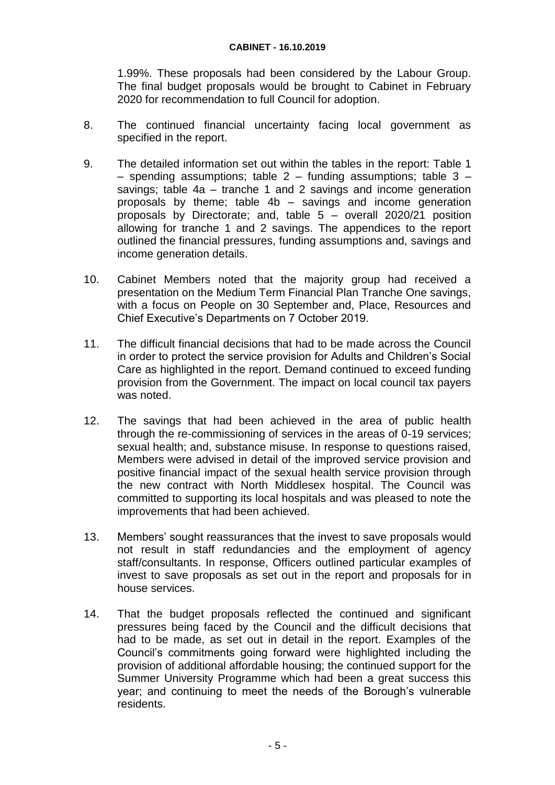1.99%. These proposals had been considered by the Labour Group. The final budget proposals would be brought to Cabinet in February 2020 for recommendation to full Council for adoption.

- 8. The continued financial uncertainty facing local government as specified in the report.
- 9. The detailed information set out within the tables in the report: Table 1 – spending assumptions; table 2 – funding assumptions; table 3 – savings; table 4a – tranche 1 and 2 savings and income generation proposals by theme; table 4b – savings and income generation proposals by Directorate; and, table 5 – overall 2020/21 position allowing for tranche 1 and 2 savings. The appendices to the report outlined the financial pressures, funding assumptions and, savings and income generation details.
- 10. Cabinet Members noted that the majority group had received a presentation on the Medium Term Financial Plan Tranche One savings, with a focus on People on 30 September and, Place, Resources and Chief Executive's Departments on 7 October 2019.
- 11. The difficult financial decisions that had to be made across the Council in order to protect the service provision for Adults and Children's Social Care as highlighted in the report. Demand continued to exceed funding provision from the Government. The impact on local council tax payers was noted.
- 12. The savings that had been achieved in the area of public health through the re-commissioning of services in the areas of 0-19 services; sexual health; and, substance misuse. In response to questions raised, Members were advised in detail of the improved service provision and positive financial impact of the sexual health service provision through the new contract with North Middlesex hospital. The Council was committed to supporting its local hospitals and was pleased to note the improvements that had been achieved.
- 13. Members' sought reassurances that the invest to save proposals would not result in staff redundancies and the employment of agency staff/consultants. In response, Officers outlined particular examples of invest to save proposals as set out in the report and proposals for in house services.
- 14. That the budget proposals reflected the continued and significant pressures being faced by the Council and the difficult decisions that had to be made, as set out in detail in the report. Examples of the Council's commitments going forward were highlighted including the provision of additional affordable housing; the continued support for the Summer University Programme which had been a great success this year; and continuing to meet the needs of the Borough's vulnerable residents.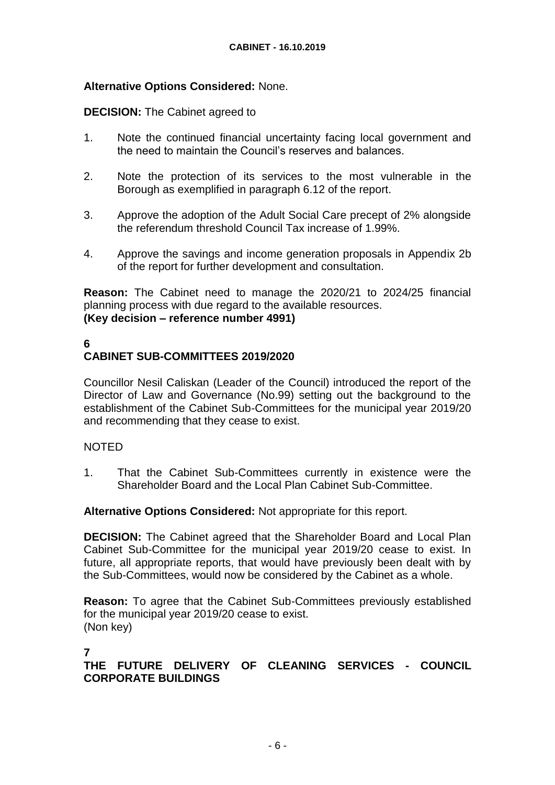### **Alternative Options Considered:** None.

### **DECISION:** The Cabinet agreed to

- 1. Note the continued financial uncertainty facing local government and the need to maintain the Council's reserves and balances.
- 2. Note the protection of its services to the most vulnerable in the Borough as exemplified in paragraph 6.12 of the report.
- 3. Approve the adoption of the Adult Social Care precept of 2% alongside the referendum threshold Council Tax increase of 1.99%.
- 4. Approve the savings and income generation proposals in Appendix 2b of the report for further development and consultation.

**Reason:** The Cabinet need to manage the 2020/21 to 2024/25 financial planning process with due regard to the available resources. **(Key decision – reference number 4991)**

### **6**

# **CABINET SUB-COMMITTEES 2019/2020**

Councillor Nesil Caliskan (Leader of the Council) introduced the report of the Director of Law and Governance (No.99) setting out the background to the establishment of the Cabinet Sub-Committees for the municipal year 2019/20 and recommending that they cease to exist.

#### NOTED

1. That the Cabinet Sub-Committees currently in existence were the Shareholder Board and the Local Plan Cabinet Sub-Committee.

**Alternative Options Considered:** Not appropriate for this report.

**DECISION:** The Cabinet agreed that the Shareholder Board and Local Plan Cabinet Sub-Committee for the municipal year 2019/20 cease to exist. In future, all appropriate reports, that would have previously been dealt with by the Sub-Committees, would now be considered by the Cabinet as a whole.

**Reason:** To agree that the Cabinet Sub-Committees previously established for the municipal year 2019/20 cease to exist. (Non key)

#### **7**

**THE FUTURE DELIVERY OF CLEANING SERVICES - COUNCIL CORPORATE BUILDINGS**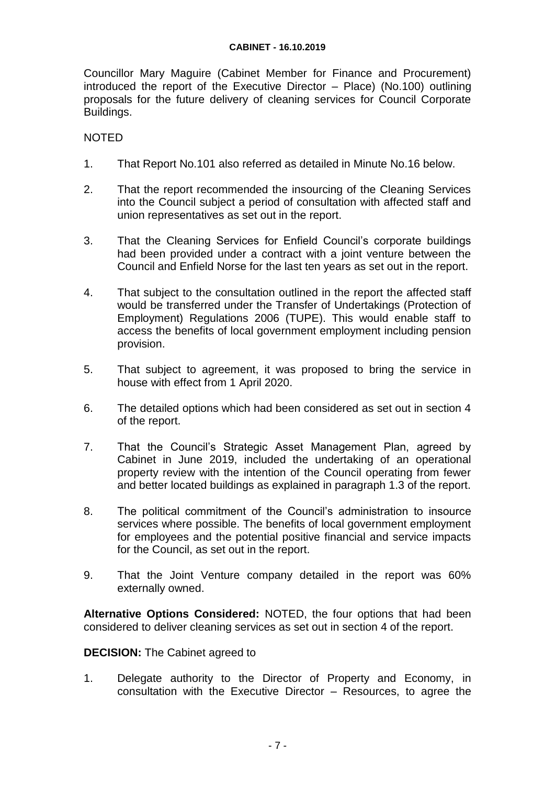Councillor Mary Maguire (Cabinet Member for Finance and Procurement) introduced the report of the Executive Director – Place) (No.100) outlining proposals for the future delivery of cleaning services for Council Corporate Buildings.

### NOTED

- 1. That Report No.101 also referred as detailed in Minute No.16 below.
- 2. That the report recommended the insourcing of the Cleaning Services into the Council subject a period of consultation with affected staff and union representatives as set out in the report.
- 3. That the Cleaning Services for Enfield Council's corporate buildings had been provided under a contract with a joint venture between the Council and Enfield Norse for the last ten years as set out in the report.
- 4. That subject to the consultation outlined in the report the affected staff would be transferred under the Transfer of Undertakings (Protection of Employment) Regulations 2006 (TUPE). This would enable staff to access the benefits of local government employment including pension provision.
- 5. That subject to agreement, it was proposed to bring the service in house with effect from 1 April 2020.
- 6. The detailed options which had been considered as set out in section 4 of the report.
- 7. That the Council's Strategic Asset Management Plan, agreed by Cabinet in June 2019, included the undertaking of an operational property review with the intention of the Council operating from fewer and better located buildings as explained in paragraph 1.3 of the report.
- 8. The political commitment of the Council's administration to insource services where possible. The benefits of local government employment for employees and the potential positive financial and service impacts for the Council, as set out in the report.
- 9. That the Joint Venture company detailed in the report was 60% externally owned.

**Alternative Options Considered:** NOTED, the four options that had been considered to deliver cleaning services as set out in section 4 of the report.

#### **DECISION:** The Cabinet agreed to

1. Delegate authority to the Director of Property and Economy, in consultation with the Executive Director – Resources, to agree the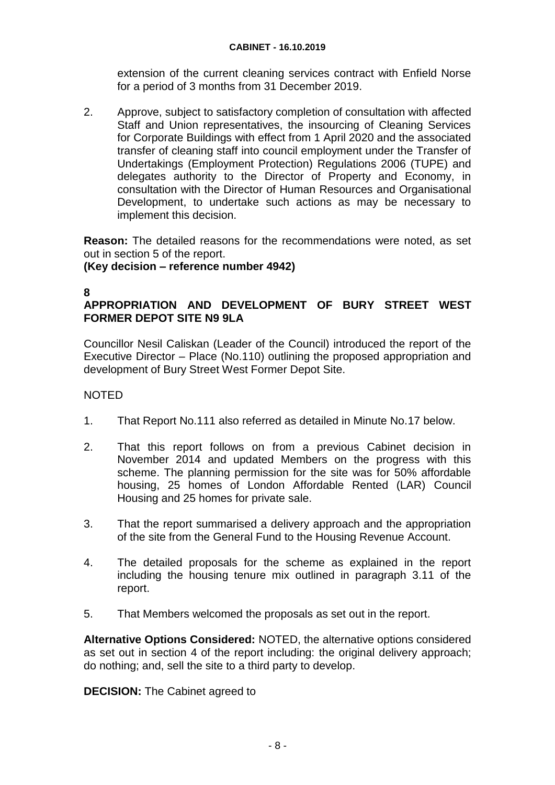extension of the current cleaning services contract with Enfield Norse for a period of 3 months from 31 December 2019.

2. Approve, subject to satisfactory completion of consultation with affected Staff and Union representatives, the insourcing of Cleaning Services for Corporate Buildings with effect from 1 April 2020 and the associated transfer of cleaning staff into council employment under the Transfer of Undertakings (Employment Protection) Regulations 2006 (TUPE) and delegates authority to the Director of Property and Economy, in consultation with the Director of Human Resources and Organisational Development, to undertake such actions as may be necessary to implement this decision.

**Reason:** The detailed reasons for the recommendations were noted, as set out in section 5 of the report.

**(Key decision – reference number 4942)**

### **8**

# **APPROPRIATION AND DEVELOPMENT OF BURY STREET WEST FORMER DEPOT SITE N9 9LA**

Councillor Nesil Caliskan (Leader of the Council) introduced the report of the Executive Director – Place (No.110) outlining the proposed appropriation and development of Bury Street West Former Depot Site.

### NOTED

- 1. That Report No.111 also referred as detailed in Minute No.17 below.
- 2. That this report follows on from a previous Cabinet decision in November 2014 and updated Members on the progress with this scheme. The planning permission for the site was for 50% affordable housing, 25 homes of London Affordable Rented (LAR) Council Housing and 25 homes for private sale.
- 3. That the report summarised a delivery approach and the appropriation of the site from the General Fund to the Housing Revenue Account.
- 4. The detailed proposals for the scheme as explained in the report including the housing tenure mix outlined in paragraph 3.11 of the report.
- 5. That Members welcomed the proposals as set out in the report.

**Alternative Options Considered:** NOTED, the alternative options considered as set out in section 4 of the report including: the original delivery approach; do nothing; and, sell the site to a third party to develop.

**DECISION:** The Cabinet agreed to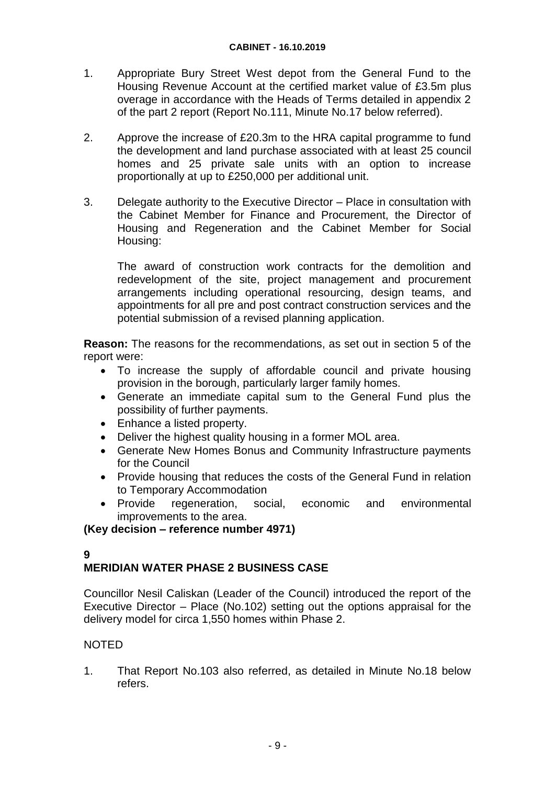- 1. Appropriate Bury Street West depot from the General Fund to the Housing Revenue Account at the certified market value of £3.5m plus overage in accordance with the Heads of Terms detailed in appendix 2 of the part 2 report (Report No.111, Minute No.17 below referred).
- 2. Approve the increase of £20.3m to the HRA capital programme to fund the development and land purchase associated with at least 25 council homes and 25 private sale units with an option to increase proportionally at up to £250,000 per additional unit.
- 3. Delegate authority to the Executive Director Place in consultation with the Cabinet Member for Finance and Procurement, the Director of Housing and Regeneration and the Cabinet Member for Social Housing:

The award of construction work contracts for the demolition and redevelopment of the site, project management and procurement arrangements including operational resourcing, design teams, and appointments for all pre and post contract construction services and the potential submission of a revised planning application.

**Reason:** The reasons for the recommendations, as set out in section 5 of the report were:

- To increase the supply of affordable council and private housing provision in the borough, particularly larger family homes.
- Generate an immediate capital sum to the General Fund plus the possibility of further payments.
- Enhance a listed property.
- Deliver the highest quality housing in a former MOL area.
- Generate New Homes Bonus and Community Infrastructure payments for the Council
- Provide housing that reduces the costs of the General Fund in relation to Temporary Accommodation
- Provide regeneration, social, economic and environmental improvements to the area.

## **(Key decision – reference number 4971)**

# **9**

# **MERIDIAN WATER PHASE 2 BUSINESS CASE**

Councillor Nesil Caliskan (Leader of the Council) introduced the report of the Executive Director – Place (No.102) setting out the options appraisal for the delivery model for circa 1,550 homes within Phase 2.

## **NOTED**

1. That Report No.103 also referred, as detailed in Minute No.18 below refers.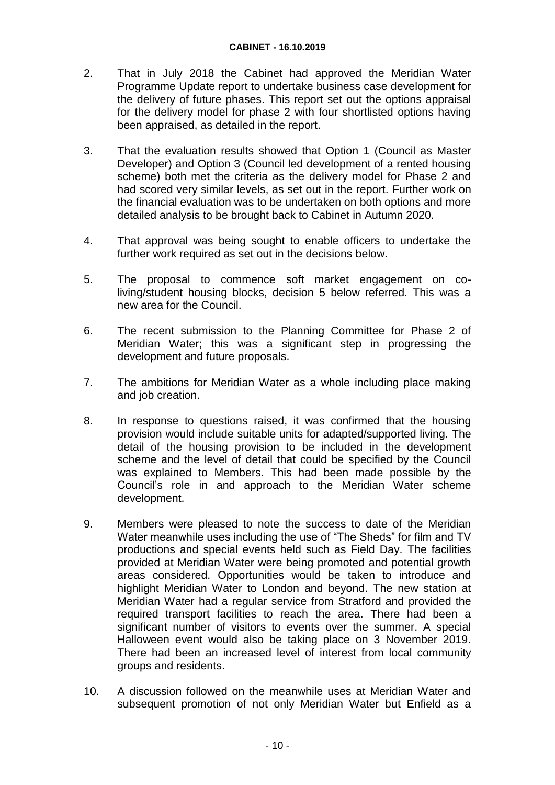- 2. That in July 2018 the Cabinet had approved the Meridian Water Programme Update report to undertake business case development for the delivery of future phases. This report set out the options appraisal for the delivery model for phase 2 with four shortlisted options having been appraised, as detailed in the report.
- 3. That the evaluation results showed that Option 1 (Council as Master Developer) and Option 3 (Council led development of a rented housing scheme) both met the criteria as the delivery model for Phase 2 and had scored very similar levels, as set out in the report. Further work on the financial evaluation was to be undertaken on both options and more detailed analysis to be brought back to Cabinet in Autumn 2020.
- 4. That approval was being sought to enable officers to undertake the further work required as set out in the decisions below.
- 5. The proposal to commence soft market engagement on coliving/student housing blocks, decision 5 below referred. This was a new area for the Council.
- 6. The recent submission to the Planning Committee for Phase 2 of Meridian Water; this was a significant step in progressing the development and future proposals.
- 7. The ambitions for Meridian Water as a whole including place making and job creation.
- 8. In response to questions raised, it was confirmed that the housing provision would include suitable units for adapted/supported living. The detail of the housing provision to be included in the development scheme and the level of detail that could be specified by the Council was explained to Members. This had been made possible by the Council's role in and approach to the Meridian Water scheme development.
- 9. Members were pleased to note the success to date of the Meridian Water meanwhile uses including the use of "The Sheds" for film and TV productions and special events held such as Field Day. The facilities provided at Meridian Water were being promoted and potential growth areas considered. Opportunities would be taken to introduce and highlight Meridian Water to London and beyond. The new station at Meridian Water had a regular service from Stratford and provided the required transport facilities to reach the area. There had been a significant number of visitors to events over the summer. A special Halloween event would also be taking place on 3 November 2019. There had been an increased level of interest from local community groups and residents.
- 10. A discussion followed on the meanwhile uses at Meridian Water and subsequent promotion of not only Meridian Water but Enfield as a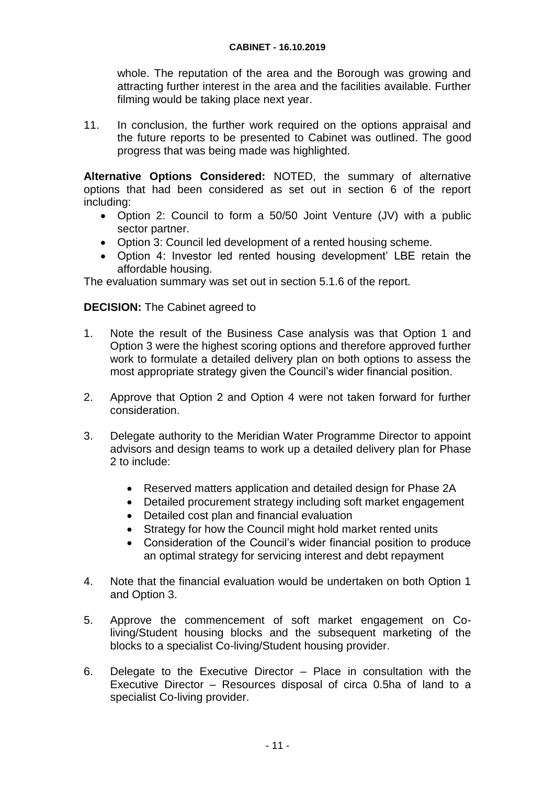whole. The reputation of the area and the Borough was growing and attracting further interest in the area and the facilities available. Further filming would be taking place next year.

11. In conclusion, the further work required on the options appraisal and the future reports to be presented to Cabinet was outlined. The good progress that was being made was highlighted.

**Alternative Options Considered:** NOTED, the summary of alternative options that had been considered as set out in section 6 of the report including:

- Option 2: Council to form a 50/50 Joint Venture (JV) with a public sector partner.
- Option 3: Council led development of a rented housing scheme.
- Option 4: Investor led rented housing development' LBE retain the affordable housing.

The evaluation summary was set out in section 5.1.6 of the report.

#### **DECISION:** The Cabinet agreed to

- 1. Note the result of the Business Case analysis was that Option 1 and Option 3 were the highest scoring options and therefore approved further work to formulate a detailed delivery plan on both options to assess the most appropriate strategy given the Council's wider financial position.
- 2. Approve that Option 2 and Option 4 were not taken forward for further consideration.
- 3. Delegate authority to the Meridian Water Programme Director to appoint advisors and design teams to work up a detailed delivery plan for Phase 2 to include:
	- Reserved matters application and detailed design for Phase 2A
	- Detailed procurement strategy including soft market engagement
	- Detailed cost plan and financial evaluation
	- Strategy for how the Council might hold market rented units
	- Consideration of the Council's wider financial position to produce an optimal strategy for servicing interest and debt repayment
- 4. Note that the financial evaluation would be undertaken on both Option 1 and Option 3.
- 5. Approve the commencement of soft market engagement on Coliving/Student housing blocks and the subsequent marketing of the blocks to a specialist Co-living/Student housing provider.
- 6. Delegate to the Executive Director Place in consultation with the Executive Director – Resources disposal of circa 0.5ha of land to a specialist Co-living provider.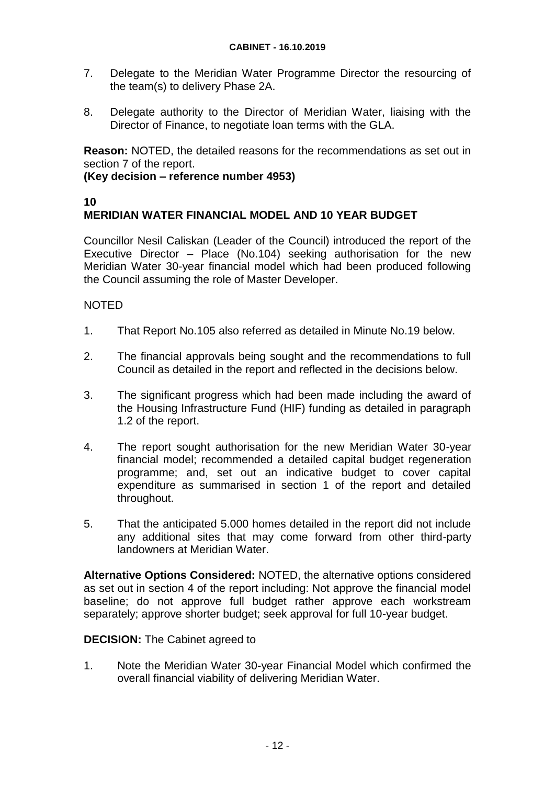- 7. Delegate to the Meridian Water Programme Director the resourcing of the team(s) to delivery Phase 2A.
- 8. Delegate authority to the Director of Meridian Water, liaising with the Director of Finance, to negotiate loan terms with the GLA.

**Reason:** NOTED, the detailed reasons for the recommendations as set out in section 7 of the report.

**(Key decision – reference number 4953)**

### **10 MERIDIAN WATER FINANCIAL MODEL AND 10 YEAR BUDGET**

Councillor Nesil Caliskan (Leader of the Council) introduced the report of the Executive Director – Place (No.104) seeking authorisation for the new Meridian Water 30-year financial model which had been produced following the Council assuming the role of Master Developer.

### NOTED

- 1. That Report No.105 also referred as detailed in Minute No.19 below.
- 2. The financial approvals being sought and the recommendations to full Council as detailed in the report and reflected in the decisions below.
- 3. The significant progress which had been made including the award of the Housing Infrastructure Fund (HIF) funding as detailed in paragraph 1.2 of the report.
- 4. The report sought authorisation for the new Meridian Water 30-year financial model; recommended a detailed capital budget regeneration programme; and, set out an indicative budget to cover capital expenditure as summarised in section 1 of the report and detailed throughout.
- 5. That the anticipated 5.000 homes detailed in the report did not include any additional sites that may come forward from other third-party landowners at Meridian Water.

**Alternative Options Considered:** NOTED, the alternative options considered as set out in section 4 of the report including: Not approve the financial model baseline; do not approve full budget rather approve each workstream separately; approve shorter budget; seek approval for full 10-year budget.

#### **DECISION:** The Cabinet agreed to

1. Note the Meridian Water 30-year Financial Model which confirmed the overall financial viability of delivering Meridian Water.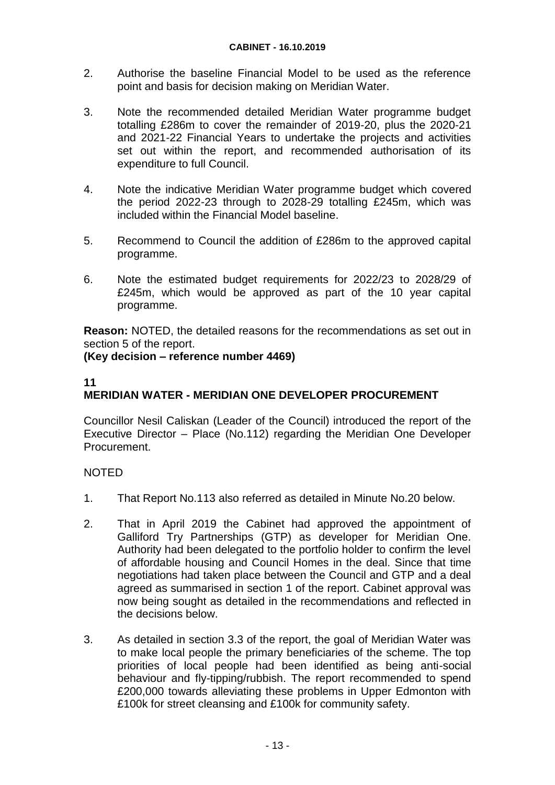- 2. Authorise the baseline Financial Model to be used as the reference point and basis for decision making on Meridian Water.
- 3. Note the recommended detailed Meridian Water programme budget totalling £286m to cover the remainder of 2019-20, plus the 2020-21 and 2021-22 Financial Years to undertake the projects and activities set out within the report, and recommended authorisation of its expenditure to full Council.
- 4. Note the indicative Meridian Water programme budget which covered the period 2022-23 through to 2028-29 totalling £245m, which was included within the Financial Model baseline.
- 5. Recommend to Council the addition of £286m to the approved capital programme.
- 6. Note the estimated budget requirements for 2022/23 to 2028/29 of £245m, which would be approved as part of the 10 year capital programme.

**Reason:** NOTED, the detailed reasons for the recommendations as set out in section 5 of the report.

**(Key decision – reference number 4469)**

#### **11 MERIDIAN WATER - MERIDIAN ONE DEVELOPER PROCUREMENT**

Councillor Nesil Caliskan (Leader of the Council) introduced the report of the Executive Director – Place (No.112) regarding the Meridian One Developer Procurement.

- 1. That Report No.113 also referred as detailed in Minute No.20 below.
- 2. That in April 2019 the Cabinet had approved the appointment of Galliford Try Partnerships (GTP) as developer for Meridian One. Authority had been delegated to the portfolio holder to confirm the level of affordable housing and Council Homes in the deal. Since that time negotiations had taken place between the Council and GTP and a deal agreed as summarised in section 1 of the report. Cabinet approval was now being sought as detailed in the recommendations and reflected in the decisions below.
- 3. As detailed in section 3.3 of the report, the goal of Meridian Water was to make local people the primary beneficiaries of the scheme. The top priorities of local people had been identified as being anti-social behaviour and fly-tipping/rubbish. The report recommended to spend £200,000 towards alleviating these problems in Upper Edmonton with £100k for street cleansing and £100k for community safety.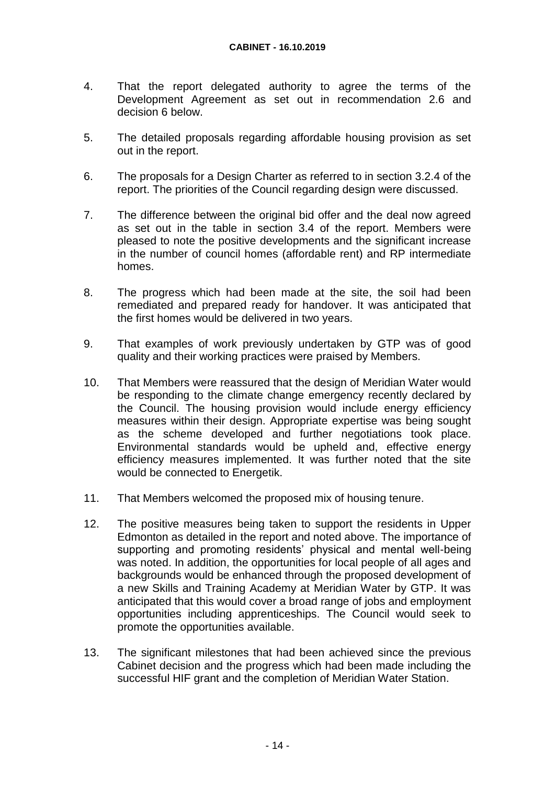- 4. That the report delegated authority to agree the terms of the Development Agreement as set out in recommendation 2.6 and decision 6 below.
- 5. The detailed proposals regarding affordable housing provision as set out in the report.
- 6. The proposals for a Design Charter as referred to in section 3.2.4 of the report. The priorities of the Council regarding design were discussed.
- 7. The difference between the original bid offer and the deal now agreed as set out in the table in section 3.4 of the report. Members were pleased to note the positive developments and the significant increase in the number of council homes (affordable rent) and RP intermediate homes.
- 8. The progress which had been made at the site, the soil had been remediated and prepared ready for handover. It was anticipated that the first homes would be delivered in two years.
- 9. That examples of work previously undertaken by GTP was of good quality and their working practices were praised by Members.
- 10. That Members were reassured that the design of Meridian Water would be responding to the climate change emergency recently declared by the Council. The housing provision would include energy efficiency measures within their design. Appropriate expertise was being sought as the scheme developed and further negotiations took place. Environmental standards would be upheld and, effective energy efficiency measures implemented. It was further noted that the site would be connected to Energetik.
- 11. That Members welcomed the proposed mix of housing tenure.
- 12. The positive measures being taken to support the residents in Upper Edmonton as detailed in the report and noted above. The importance of supporting and promoting residents' physical and mental well-being was noted. In addition, the opportunities for local people of all ages and backgrounds would be enhanced through the proposed development of a new Skills and Training Academy at Meridian Water by GTP. It was anticipated that this would cover a broad range of jobs and employment opportunities including apprenticeships. The Council would seek to promote the opportunities available.
- 13. The significant milestones that had been achieved since the previous Cabinet decision and the progress which had been made including the successful HIF grant and the completion of Meridian Water Station.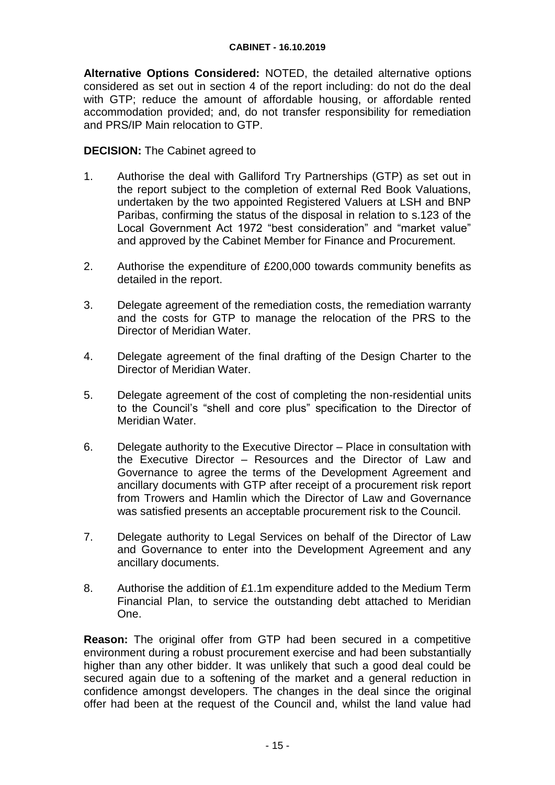**Alternative Options Considered:** NOTED, the detailed alternative options considered as set out in section 4 of the report including: do not do the deal with GTP; reduce the amount of affordable housing, or affordable rented accommodation provided; and, do not transfer responsibility for remediation and PRS/IP Main relocation to GTP.

**DECISION:** The Cabinet agreed to

- 1. Authorise the deal with Galliford Try Partnerships (GTP) as set out in the report subject to the completion of external Red Book Valuations, undertaken by the two appointed Registered Valuers at LSH and BNP Paribas, confirming the status of the disposal in relation to s.123 of the Local Government Act 1972 "best consideration" and "market value" and approved by the Cabinet Member for Finance and Procurement.
- 2. Authorise the expenditure of £200,000 towards community benefits as detailed in the report.
- 3. Delegate agreement of the remediation costs, the remediation warranty and the costs for GTP to manage the relocation of the PRS to the Director of Meridian Water.
- 4. Delegate agreement of the final drafting of the Design Charter to the Director of Meridian Water.
- 5. Delegate agreement of the cost of completing the non-residential units to the Council's "shell and core plus" specification to the Director of Meridian Water.
- 6. Delegate authority to the Executive Director Place in consultation with the Executive Director – Resources and the Director of Law and Governance to agree the terms of the Development Agreement and ancillary documents with GTP after receipt of a procurement risk report from Trowers and Hamlin which the Director of Law and Governance was satisfied presents an acceptable procurement risk to the Council.
- 7. Delegate authority to Legal Services on behalf of the Director of Law and Governance to enter into the Development Agreement and any ancillary documents.
- 8. Authorise the addition of £1.1m expenditure added to the Medium Term Financial Plan, to service the outstanding debt attached to Meridian One.

**Reason:** The original offer from GTP had been secured in a competitive environment during a robust procurement exercise and had been substantially higher than any other bidder. It was unlikely that such a good deal could be secured again due to a softening of the market and a general reduction in confidence amongst developers. The changes in the deal since the original offer had been at the request of the Council and, whilst the land value had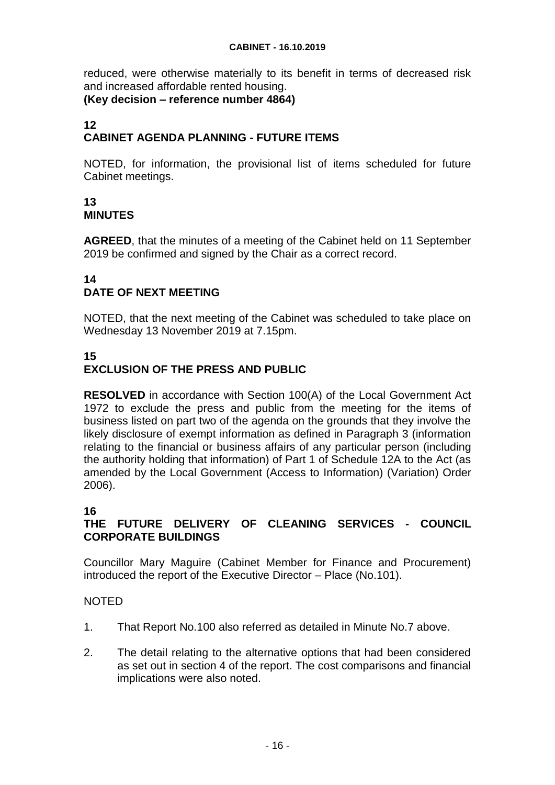reduced, were otherwise materially to its benefit in terms of decreased risk and increased affordable rented housing.

### **(Key decision – reference number 4864)**

#### **12 CABINET AGENDA PLANNING - FUTURE ITEMS**

NOTED, for information, the provisional list of items scheduled for future Cabinet meetings.

# **13 MINUTES**

**AGREED**, that the minutes of a meeting of the Cabinet held on 11 September 2019 be confirmed and signed by the Chair as a correct record.

# **14 DATE OF NEXT MEETING**

NOTED, that the next meeting of the Cabinet was scheduled to take place on Wednesday 13 November 2019 at 7.15pm.

# **15**

# **EXCLUSION OF THE PRESS AND PUBLIC**

**RESOLVED** in accordance with Section 100(A) of the Local Government Act 1972 to exclude the press and public from the meeting for the items of business listed on part two of the agenda on the grounds that they involve the likely disclosure of exempt information as defined in Paragraph 3 (information relating to the financial or business affairs of any particular person (including the authority holding that information) of Part 1 of Schedule 12A to the Act (as amended by the Local Government (Access to Information) (Variation) Order 2006).

#### **16**

# **THE FUTURE DELIVERY OF CLEANING SERVICES - COUNCIL CORPORATE BUILDINGS**

Councillor Mary Maguire (Cabinet Member for Finance and Procurement) introduced the report of the Executive Director – Place (No.101).

- 1. That Report No.100 also referred as detailed in Minute No.7 above.
- 2. The detail relating to the alternative options that had been considered as set out in section 4 of the report. The cost comparisons and financial implications were also noted.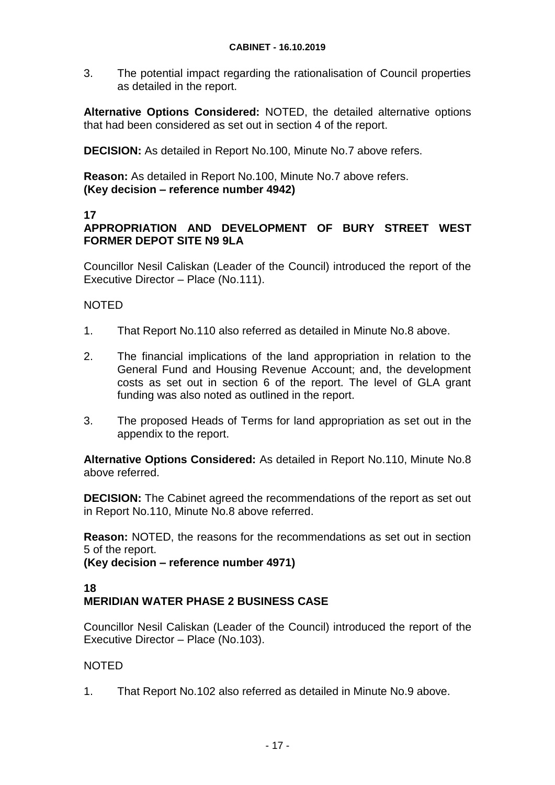3. The potential impact regarding the rationalisation of Council properties as detailed in the report.

**Alternative Options Considered:** NOTED, the detailed alternative options that had been considered as set out in section 4 of the report.

**DECISION:** As detailed in Report No.100, Minute No.7 above refers.

**Reason:** As detailed in Report No.100, Minute No.7 above refers. **(Key decision – reference number 4942)**

#### **17**

# **APPROPRIATION AND DEVELOPMENT OF BURY STREET WEST FORMER DEPOT SITE N9 9LA**

Councillor Nesil Caliskan (Leader of the Council) introduced the report of the Executive Director – Place (No.111).

### NOTED

- 1. That Report No.110 also referred as detailed in Minute No.8 above.
- 2. The financial implications of the land appropriation in relation to the General Fund and Housing Revenue Account; and, the development costs as set out in section 6 of the report. The level of GLA grant funding was also noted as outlined in the report.
- 3. The proposed Heads of Terms for land appropriation as set out in the appendix to the report.

**Alternative Options Considered:** As detailed in Report No.110, Minute No.8 above referred.

**DECISION:** The Cabinet agreed the recommendations of the report as set out in Report No.110, Minute No.8 above referred.

**Reason:** NOTED, the reasons for the recommendations as set out in section 5 of the report.

**(Key decision – reference number 4971)**

## **18 MERIDIAN WATER PHASE 2 BUSINESS CASE**

Councillor Nesil Caliskan (Leader of the Council) introduced the report of the Executive Director – Place (No.103).

## NOTED

1. That Report No.102 also referred as detailed in Minute No.9 above.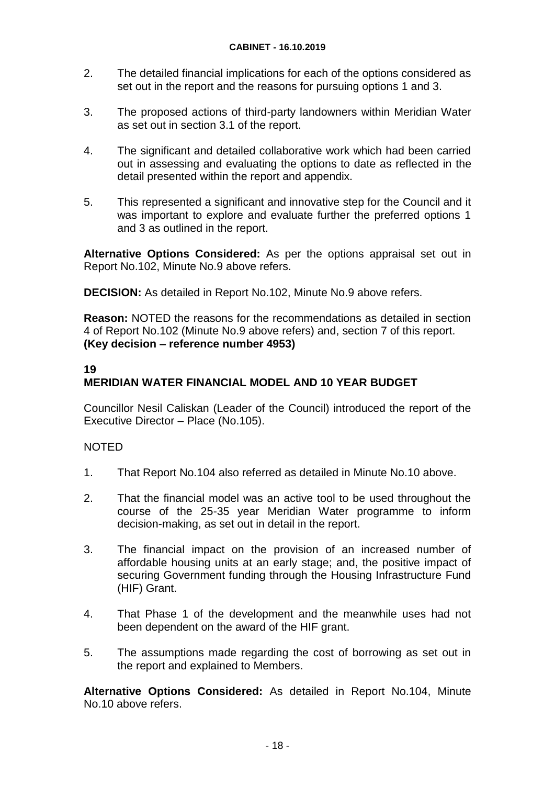- 2. The detailed financial implications for each of the options considered as set out in the report and the reasons for pursuing options 1 and 3.
- 3. The proposed actions of third-party landowners within Meridian Water as set out in section 3.1 of the report.
- 4. The significant and detailed collaborative work which had been carried out in assessing and evaluating the options to date as reflected in the detail presented within the report and appendix.
- 5. This represented a significant and innovative step for the Council and it was important to explore and evaluate further the preferred options 1 and 3 as outlined in the report.

**Alternative Options Considered:** As per the options appraisal set out in Report No.102, Minute No.9 above refers.

**DECISION:** As detailed in Report No.102, Minute No.9 above refers.

**Reason:** NOTED the reasons for the recommendations as detailed in section 4 of Report No.102 (Minute No.9 above refers) and, section 7 of this report. **(Key decision – reference number 4953)**

## **19**

# **MERIDIAN WATER FINANCIAL MODEL AND 10 YEAR BUDGET**

Councillor Nesil Caliskan (Leader of the Council) introduced the report of the Executive Director – Place (No.105).

## NOTED

- 1. That Report No.104 also referred as detailed in Minute No.10 above.
- 2. That the financial model was an active tool to be used throughout the course of the 25-35 year Meridian Water programme to inform decision-making, as set out in detail in the report.
- 3. The financial impact on the provision of an increased number of affordable housing units at an early stage; and, the positive impact of securing Government funding through the Housing Infrastructure Fund (HIF) Grant.
- 4. That Phase 1 of the development and the meanwhile uses had not been dependent on the award of the HIF grant.
- 5. The assumptions made regarding the cost of borrowing as set out in the report and explained to Members.

**Alternative Options Considered:** As detailed in Report No.104, Minute No.10 above refers.